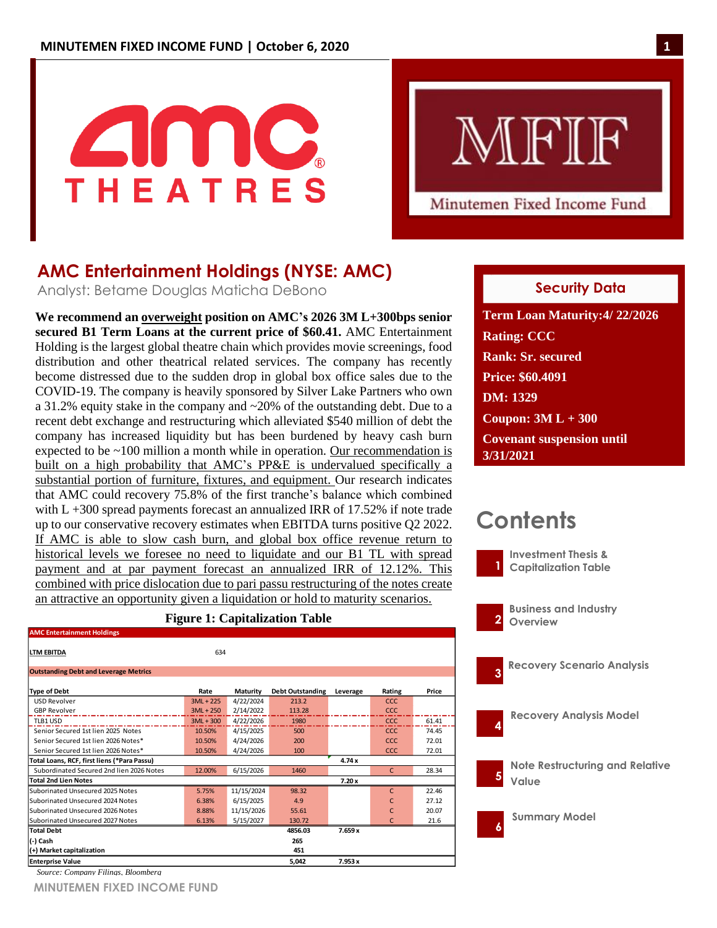

# MFIF

Minutemen Fixed Income Fund

# **AMC Entertainment Holdings (NYSE: AMC)**

Analyst: Betame Douglas Maticha DeBono

**We recommend an overweight position on AMC's 2026 3M L+300bps senior secured B1 Term Loans at the current price of \$60.41.** AMC Entertainment Holding is the largest global theatre chain which provides movie screenings, food distribution and other theatrical related services. The company has recently become distressed due to the sudden drop in global box office sales due to the COVID-19. The company is heavily sponsored by Silver Lake Partners who own a 31.2% equity stake in the company and ~20% of the outstanding debt. Due to a recent debt exchange and restructuring which alleviated \$540 million of debt the company has increased liquidity but has been burdened by heavy cash burn expected to be ~100 million a month while in operation. Our recommendation is built on a high probability that AMC's PP&E is undervalued specifically a substantial portion of furniture, fixtures, and equipment. Our research indicates that AMC could recovery 75.8% of the first tranche's balance which combined with  $L + 300$  spread payments forecast an annualized IRR of 17.52% if note trade up to our conservative recovery estimates when EBITDA turns positive Q2 2022. If AMC is able to slow cash burn, and global box office revenue return to historical levels we foresee no need to liquidate and our B1 TL with spread payment and at par payment forecast an annualized IRR of 12.12%. This combined with price dislocation due to pari passu restructuring of the notes create an attractive an opportunity given a liquidation or hold to maturity scenarios.

### **Figure 1: Capitalization Table**

| <b>AMC Entertainment Holdings</b>            |             |                 |                         |          |              |       |
|----------------------------------------------|-------------|-----------------|-------------------------|----------|--------------|-------|
| <b>LTM EBITDA</b>                            | 634         |                 |                         |          |              |       |
| <b>Outstanding Debt and Leverage Metrics</b> |             |                 |                         |          |              |       |
| <b>Type of Debt</b>                          | Rate        | <b>Maturity</b> | <b>Debt Outstanding</b> | Leverage | Rating       | Price |
| <b>USD Revolver</b>                          | $3ML + 225$ | 4/22/2024       | 213.2                   |          | <b>CCC</b>   |       |
| <b>GBP Revolver</b>                          | $3ML + 250$ | 2/14/2022       | 113.28                  |          | CCC.         |       |
| TLB1 USD                                     | $3ML + 300$ | 4/22/2026       | 1980                    |          | CCC          | 61.41 |
| Senior Secured 1st lien 2025 Notes           | 10.50%      | 4/15/2025       | 500                     |          | <b>CCC</b>   | 74.45 |
| Senior Secured 1st lien 2026 Notes*          | 10.50%      | 4/24/2026       | 200                     |          | CCC          | 72.01 |
| Senior Secured 1st lien 2026 Notes*          | 10.50%      | 4/24/2026       | 100                     |          | CCC.         | 72.01 |
| Total Loans, RCF, first liens (*Para Passu)  |             |                 |                         | 4.74x    |              |       |
| Subordinated Secured 2nd lien 2026 Notes     | 12.00%      | 6/15/2026       | 1460                    |          | $\mathsf{C}$ | 28.34 |
| <b>Total 2nd Lien Notes</b>                  |             |                 |                         | 7.20x    |              |       |
| Suborinated Unsecured 2025 Notes             | 5.75%       | 11/15/2024      | 98.32                   |          | $\mathsf{C}$ | 22.46 |
| Suborinated Unsecured 2024 Notes             | 6.38%       | 6/15/2025       | 4.9                     |          | C            | 27.12 |
| Suborinated Unsecured 2026 Notes             | 8.88%       | 11/15/2026      | 55.61                   |          | C            | 20.07 |
| Suborinated Unsecured 2027 Notes             | 6.13%       | 5/15/2027       | 130.72                  |          | C            | 21.6  |
| <b>Total Debt</b>                            |             |                 | 4856.03                 | 7.659x   |              |       |
| (-) Cash                                     |             |                 | 265                     |          |              |       |
| (+) Market capitalization                    |             |                 | 451                     |          |              |       |
| <b>Enterprise Value</b>                      |             |                 | 5,042                   | 7.953x   |              |       |

*Source: Company Filings, Bloomberg*

**MINUTEMEN FIXED INCOME FUND**

#### February 26, 2014 **Security Data**

**THE RATION CONSUMERS WE GET A REAL PROPERTY. Term Loan Maturity:4/ 22/2026 Rank: Sr. secured Price: \$60.4091 DM: 1329 Coupon: 3M L + 300 Covenant suspension until 3/31/2021**

# **Contents**



**Investment Thesis & Capitalization Table**

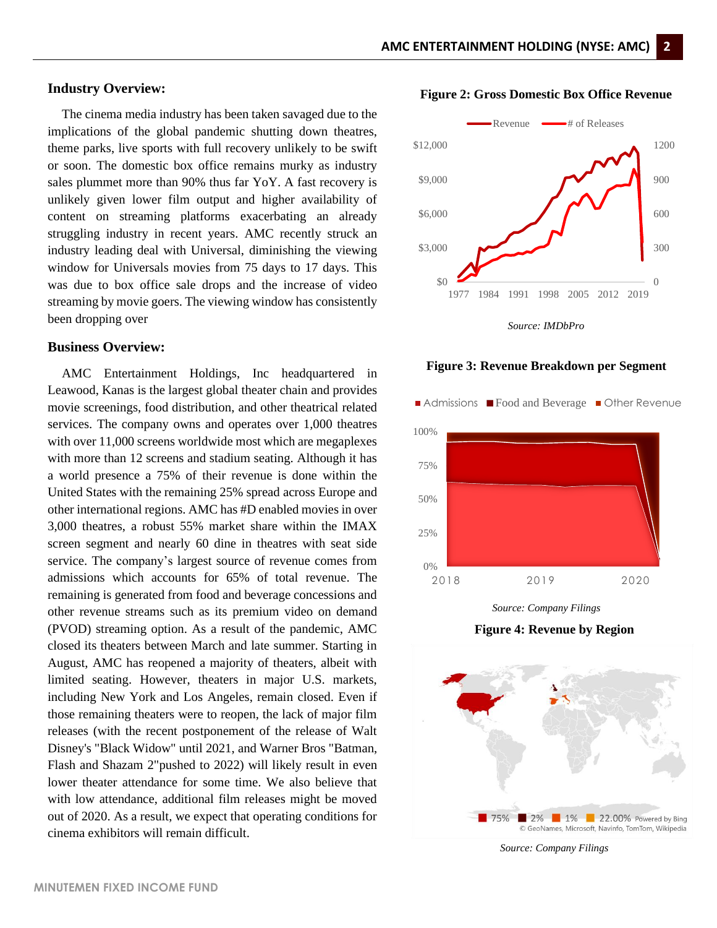**Figure 2: Gross Domestic Box Office Revenue**

#### **Industry Overview:**

The cinema media industry has been taken savaged due to the implications of the global pandemic shutting down theatres, theme parks, live sports with full recovery unlikely to be swift or soon. The domestic box office remains murky as industry sales plummet more than 90% thus far YoY. A fast recovery is unlikely given lower film output and higher availability of content on streaming platforms exacerbating an already struggling industry in recent years. AMC recently struck an industry leading deal with Universal, diminishing the viewing window for Universals movies from 75 days to 17 days. This was due to box office sale drops and the increase of video streaming by movie goers. The viewing window has consistently been dropping over

#### **Business Overview:**

AMC Entertainment Holdings, Inc headquartered in Leawood, Kanas is the largest global theater chain and provides movie screenings, food distribution, and other theatrical related services. The company owns and operates over 1,000 theatres with over 11,000 screens worldwide most which are megaplexes with more than 12 screens and stadium seating. Although it has a world presence a 75% of their revenue is done within the United States with the remaining 25% spread across Europe and other international regions. AMC has #D enabled movies in over 3,000 theatres, a robust 55% market share within the IMAX screen segment and nearly 60 dine in theatres with seat side service. The company's largest source of revenue comes from admissions which accounts for 65% of total revenue. The remaining is generated from food and beverage concessions and other revenue streams such as its premium video on demand (PVOD) streaming option. As a result of the pandemic, AMC closed its theaters between March and late summer. Starting in August, AMC has reopened a majority of theaters, albeit with limited seating. However, theaters in major U.S. markets, including New York and Los Angeles, remain closed. Even if those remaining theaters were to reopen, the lack of major film releases (with the recent postponement of the release of Walt Disney's "Black Widow" until 2021, and Warner Bros "Batman, Flash and Shazam 2"pushed to 2022) will likely result in even lower theater attendance for some time. We also believe that with low attendance, additional film releases might be moved out of 2020. As a result, we expect that operating conditions for cinema exhibitors will remain difficult.



**Figure 3: Revenue Breakdown per Segment**



**Figure 4: Revenue by Region**



*Source: Company Filings*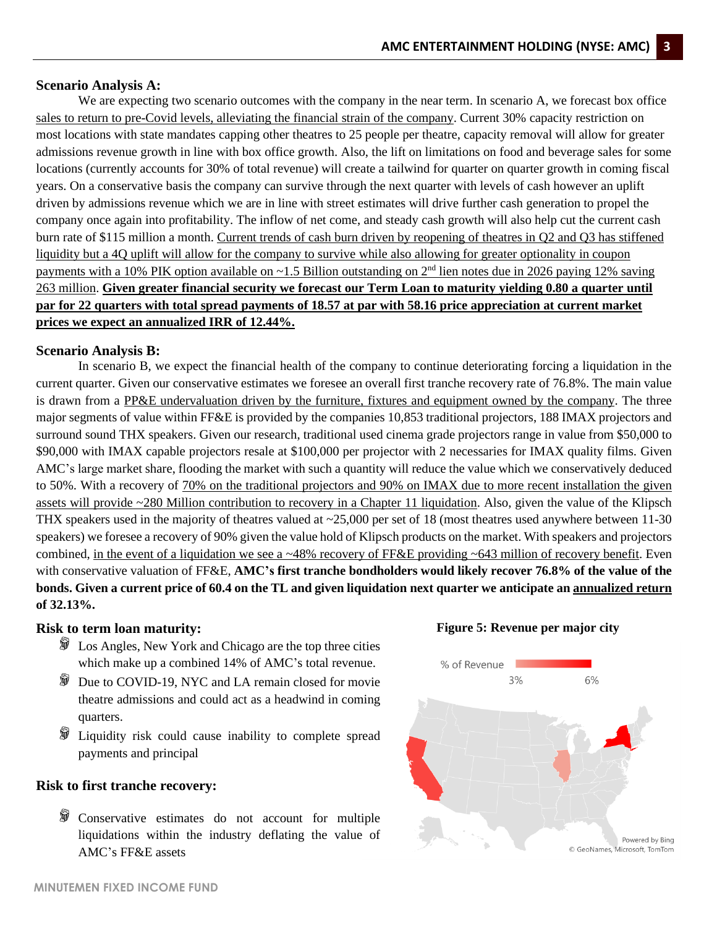#### **Scenario Analysis A:**

We are expecting two scenario outcomes with the company in the near term. In scenario A, we forecast box office sales to return to pre-Covid levels, alleviating the financial strain of the company. Current 30% capacity restriction on most locations with state mandates capping other theatres to 25 people per theatre, capacity removal will allow for greater admissions revenue growth in line with box office growth. Also, the lift on limitations on food and beverage sales for some locations (currently accounts for 30% of total revenue) will create a tailwind for quarter on quarter growth in coming fiscal years. On a conservative basis the company can survive through the next quarter with levels of cash however an uplift driven by admissions revenue which we are in line with street estimates will drive further cash generation to propel the company once again into profitability. The inflow of net come, and steady cash growth will also help cut the current cash burn rate of \$115 million a month. Current trends of cash burn driven by reopening of theatres in Q2 and Q3 has stiffened liquidity but a 4Q uplift will allow for the company to survive while also allowing for greater optionality in coupon payments with a 10% PIK option available on  $\sim$ 1.5 Billion outstanding on 2<sup>nd</sup> lien notes due in 2026 paying 12% saving 263 million. **Given greater financial security we forecast our Term Loan to maturity yielding 0.80 a quarter until par for 22 quarters with total spread payments of 18.57 at par with 58.16 price appreciation at current market prices we expect an annualized IRR of 12.44%.**

#### **Scenario Analysis B:**

In scenario B, we expect the financial health of the company to continue deteriorating forcing a liquidation in the current quarter. Given our conservative estimates we foresee an overall first tranche recovery rate of 76.8%. The main value is drawn from a PP&E undervaluation driven by the furniture, fixtures and equipment owned by the company. The three major segments of value within FF&E is provided by the companies 10,853 traditional projectors, 188 IMAX projectors and surround sound THX speakers. Given our research, traditional used cinema grade projectors range in value from \$50,000 to \$90,000 with IMAX capable projectors resale at \$100,000 per projector with 2 necessaries for IMAX quality films. Given AMC's large market share, flooding the market with such a quantity will reduce the value which we conservatively deduced to 50%. With a recovery of 70% on the traditional projectors and 90% on IMAX due to more recent installation the given assets will provide ~280 Million contribution to recovery in a Chapter 11 liquidation. Also, given the value of the Klipsch THX speakers used in the majority of theatres valued at  $\sim$ 25,000 per set of 18 (most theatres used anywhere between 11-30) speakers) we foresee a recovery of 90% given the value hold of Klipsch products on the market. With speakers and projectors combined, in the event of a liquidation we see a  $\sim$ 48% recovery of FF&E providing  $\sim$ 643 million of recovery benefit. Even with conservative valuation of FF&E, **AMC's first tranche bondholders would likely recover 76.8% of the value of the bonds. Given a current price of 60.4 on the TL and given liquidation next quarter we anticipate an annualized return of 32.13%.**

#### **Risk to term loan maturity:**

- $\hat{D}$  Los Angles, New York and Chicago are the top three cities which make up a combined 14% of AMC's total revenue.
- **Due to COVID-19, NYC and LA remain closed for movie** theatre admissions and could act as a headwind in coming quarters.
- **D** Liquidity risk could cause inability to complete spread payments and principal

#### **Risk to first tranche recovery:**

**M** Conservative estimates do not account for multiple liquidations within the industry deflating the value of AMC's FF&E assets



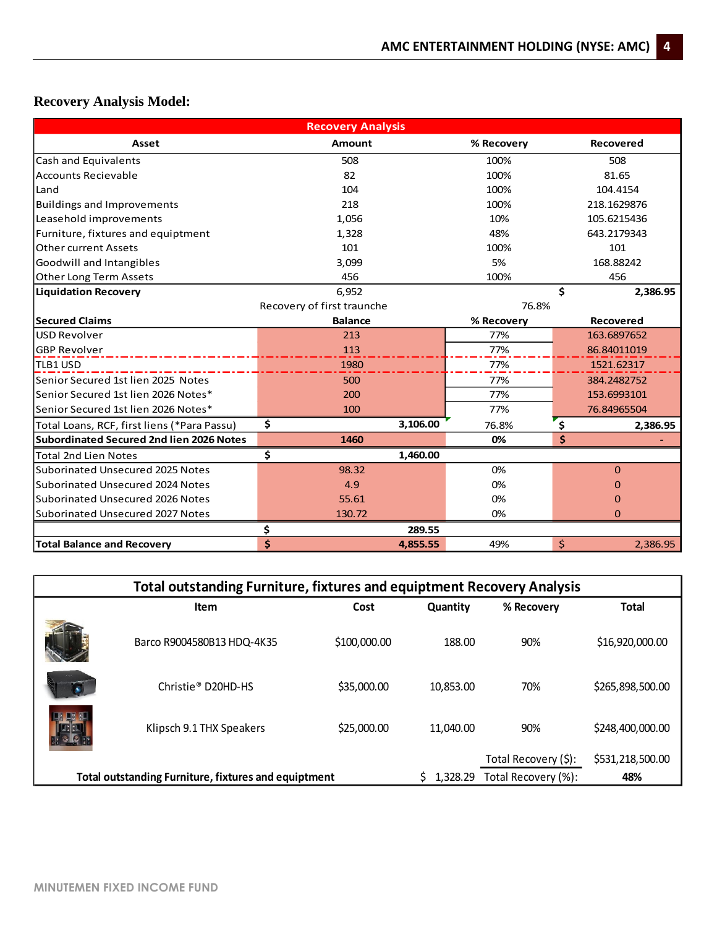## **Recovery Analysis Model:**

| <b>Recovery Analysis</b>                        |                            |            |                  |             |                  |  |  |  |
|-------------------------------------------------|----------------------------|------------|------------------|-------------|------------------|--|--|--|
| Asset                                           | <b>Amount</b>              | % Recovery | <b>Recovered</b> |             |                  |  |  |  |
| Cash and Equivalents                            | 508                        |            | 100%             |             | 508              |  |  |  |
| <b>Accounts Recievable</b>                      | 82                         |            | 100%             |             | 81.65            |  |  |  |
| Land                                            | 104                        |            | 100%             |             | 104.4154         |  |  |  |
| <b>Buildings and Improvements</b>               | 218                        |            | 100%             |             | 218.1629876      |  |  |  |
| Leasehold improvements                          | 1,056                      |            | 10%              |             | 105.6215436      |  |  |  |
| Furniture, fixtures and equiptment              | 1,328                      |            | 48%              |             | 643.2179343      |  |  |  |
| <b>Other current Assets</b>                     | 101                        |            | 100%             |             | 101              |  |  |  |
| Goodwill and Intangibles                        | 3,099                      |            | 5%               |             | 168.88242        |  |  |  |
| Other Long Term Assets                          | 456                        |            | 100%             |             | 456              |  |  |  |
| <b>Liquidation Recovery</b>                     | 6,952                      |            |                  | Ś.          | 2,386.95         |  |  |  |
|                                                 | Recovery of first traunche |            | 76.8%            |             |                  |  |  |  |
| <b>Secured Claims</b>                           | <b>Balance</b>             |            | % Recovery       |             | <b>Recovered</b> |  |  |  |
| USD Revolver                                    | 213                        |            | 77%              |             | 163.6897652      |  |  |  |
| <b>GBP Revolver</b>                             | 113                        |            | 77%              |             | 86.84011019      |  |  |  |
| <b>TLB1 USD</b>                                 | 1980                       |            | 77%              |             | 1521.62317       |  |  |  |
| Senior Secured 1st lien 2025 Notes              | 500                        |            | 77%              |             | 384.2482752      |  |  |  |
| Senior Secured 1st lien 2026 Notes*             | 200                        |            | 77%              |             | 153.6993101      |  |  |  |
| Senior Secured 1st lien 2026 Notes*             | 100                        |            | 77%              | 76.84965504 |                  |  |  |  |
| Total Loans, RCF, first liens (*Para Passu)     | \$                         | 3,106.00   | 76.8%            | \$          | 2,386.95         |  |  |  |
| <b>Subordinated Secured 2nd lien 2026 Notes</b> | 1460                       |            | 0%               | \$          |                  |  |  |  |
| <b>Total 2nd Lien Notes</b>                     | \$                         | 1,460.00   |                  |             |                  |  |  |  |
| Suborinated Unsecured 2025 Notes                | 98.32                      |            | 0%               |             | $\mathbf{0}$     |  |  |  |
| Suborinated Unsecured 2024 Notes                | 4.9                        |            | 0%               |             | 0                |  |  |  |
| Suborinated Unsecured 2026 Notes                | 55.61                      |            | 0%               |             | $\Omega$         |  |  |  |
| Suborinated Unsecured 2027 Notes                | 130.72                     |            | 0%               |             | 0                |  |  |  |
|                                                 | \$                         | 289.55     |                  |             |                  |  |  |  |
| <b>Total Balance and Recovery</b>               | \$                         | 4,855.55   | 49%              | \$          | 2,386.95         |  |  |  |

| <b>Total outstanding Furniture, fixtures and equiptment Recovery Analysis</b> |                                                      |              |                     |                      |                  |  |  |  |
|-------------------------------------------------------------------------------|------------------------------------------------------|--------------|---------------------|----------------------|------------------|--|--|--|
|                                                                               | Item                                                 | Cost         | Quantity            | % Recovery           | <b>Total</b>     |  |  |  |
|                                                                               | Barco R9004580B13 HDQ-4K35                           | \$100,000.00 | 188.00              | 90%                  | \$16,920,000.00  |  |  |  |
|                                                                               | Christie <sup>®</sup> D <sub>20HD-HS</sub>           | \$35,000.00  | 10.853.00           | 70%                  | \$265.898.500.00 |  |  |  |
|                                                                               | Klipsch 9.1 THX Speakers                             | \$25,000.00  | 11,040.00           | 90%                  | \$248,400,000.00 |  |  |  |
|                                                                               |                                                      |              |                     | Total Recovery (\$): | \$531,218,500.00 |  |  |  |
|                                                                               | Total outstanding Furniture, fixtures and equiptment | 1.328.29     | Total Recovery (%): | 48%                  |                  |  |  |  |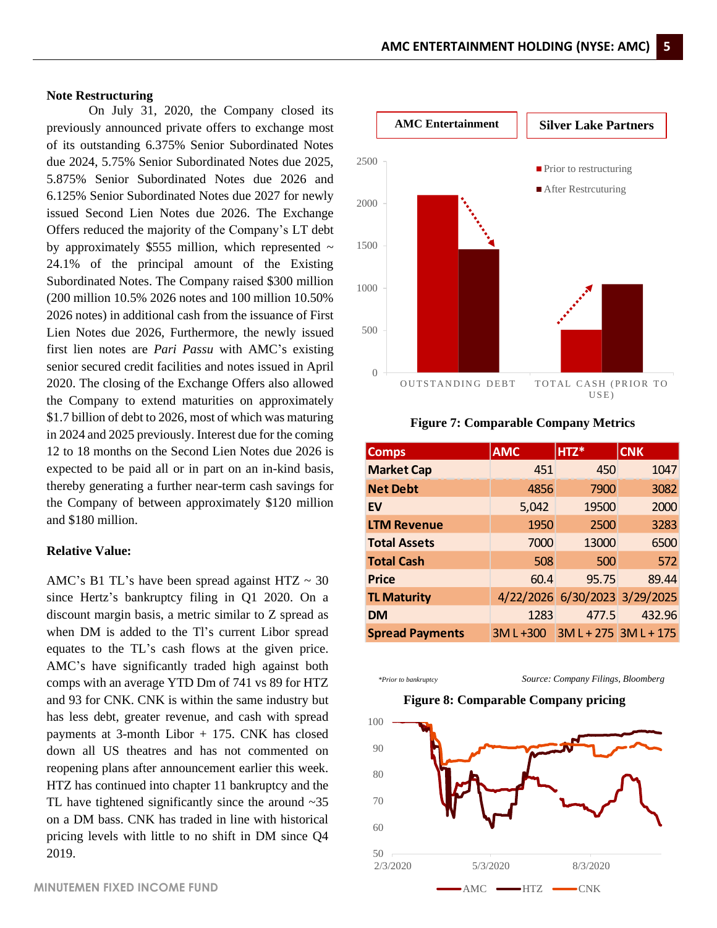#### **Note Restructuring**

On July 31, 2020, the Company closed its previously announced private offers to exchange most of its outstanding 6.375% Senior Subordinated Notes due 2024, 5.75% Senior Subordinated Notes due 2025, 5.875% Senior Subordinated Notes due 2026 and 6.125% Senior Subordinated Notes due 2027 for newly issued Second Lien Notes due 2026. The Exchange Offers reduced the majority of the Company's LT debt by approximately \$555 million, which represented  $\sim$ 24.1% of the principal amount of the Existing Subordinated Notes. The Company raised \$300 million (200 million 10.5% 2026 notes and 100 million 10.50% 2026 notes) in additional cash from the issuance of First Lien Notes due 2026, Furthermore, the newly issued first lien notes are *Pari Passu* with AMC's existing senior secured credit facilities and notes issued in April 2020. The closing of the Exchange Offers also allowed the Company to extend maturities on approximately \$1.7 billion of debt to 2026, most of which was maturing in 2024 and 2025 previously. Interest due for the coming 12 to 18 months on the Second Lien Notes due 2026 is expected to be paid all or in part on an in-kind basis, thereby generating a further near-term cash savings for the Company of between approximately \$120 million and \$180 million.

#### **Relative Value:**

AMC's B1 TL's have been spread against HTZ  $\sim$  30 since Hertz's bankruptcy filing in Q1 2020. On a discount margin basis, a metric similar to Z spread as when DM is added to the Tl's current Libor spread equates to the TL's cash flows at the given price. AMC's have significantly traded high against both comps with an average YTD Dm of 741 vs 89 for HTZ and 93 for CNK. CNK is within the same industry but has less debt, greater revenue, and cash with spread payments at 3-month Libor + 175. CNK has closed down all US theatres and has not commented on reopening plans after announcement earlier this week. HTZ has continued into chapter 11 bankruptcy and the TL have tightened significantly since the around  $\sim$ 35 on a DM bass. CNK has traded in line with historical pricing levels with little to no shift in DM since Q4 2019.



**Figure 7: Comparable Company Metrics**

| <b>Comps</b>           | <b>AMC</b> | HTZ*                          | <b>CNK</b> |
|------------------------|------------|-------------------------------|------------|
| <b>Market Cap</b>      | 451        | 450                           | 1047       |
| <b>Net Debt</b>        | 4856       | 7900                          | 3082       |
| EV                     | 5,042      | 19500                         | 2000       |
| <b>LTM Revenue</b>     | 1950       | 2500                          | 3283       |
| <b>Total Assets</b>    | 7000       | 13000                         | 6500       |
| <b>Total Cash</b>      | 508        | 500                           | 572        |
| <b>Price</b>           | 60.4       | 95.75                         | 89.44      |
| <b>TL Maturity</b>     |            | 4/22/2026 6/30/2023 3/29/2025 |            |
| <b>DM</b>              | 1283       | 477.5                         | 432.96     |
| <b>Spread Payments</b> | 3ML+300    | $3M L + 275$ $3M L + 175$     |            |
|                        |            |                               |            |

*\*Prior to bankruptcy Source: Company Filings, Bloomberg*

#### **Figure 8: Comparable Company pricing**